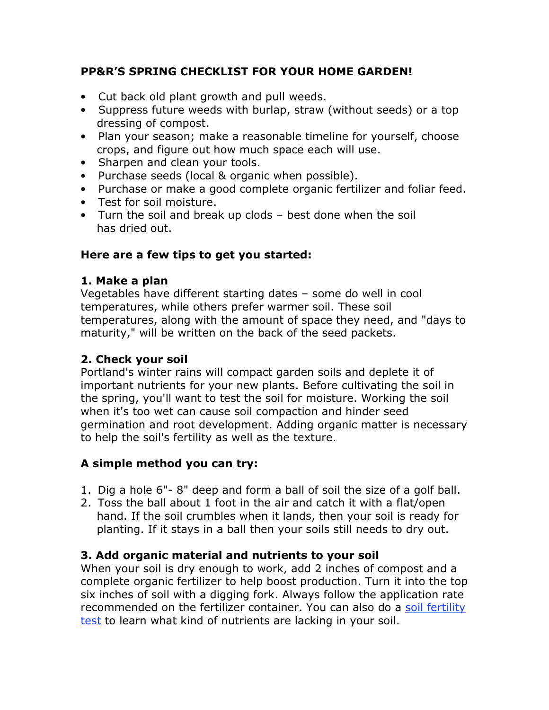# **PP&R'S SPRING CHECKLIST FOR YOUR HOME GARDEN!**

- Cut back old plant growth and pull weeds.
- Suppress future weeds with burlap, straw (without seeds) or a top dressing of compost.
- Plan your season; make a reasonable timeline for yourself, choose crops, and figure out how much space each will use.
- Sharpen and clean your tools.
- Purchase seeds (local & organic when possible).
- Purchase or make a good complete organic fertilizer and foliar feed.
- Test for soil moisture.
- Turn the soil and break up clods best done when the soil has dried out.

# **Here are a few tips to get you started:**

# **1. Make a plan**

Vegetables have different starting dates – some do well in cool temperatures, while others prefer warmer soil. These soil temperatures, along with the amount of space they need, and "days to maturity," will be written on the back of the seed packets.

# **2. Check your soil**

Portland's winter rains will compact garden soils and deplete it of important nutrients for your new plants. Before cultivating the soil in the spring, you'll want to test the soil for moisture. Working the soil when it's too wet can cause soil compaction and hinder seed germination and root development. Adding organic matter is necessary to help the soil's fertility as well as the texture.

# **A simple method you can try:**

- 1. Dig a hole 6". 8" deep and form a ball of soil the size of a golf ball.
- 2. Toss the ball about 1 foot in the air and catch it with a flat/open hand. If the soil crumbles when it lands, then your soil is ready for planting. If it stays in a ball then your soils still needs to dry out.

# **3. Add organic material and nutrients to your soil**

When your soil is dry enough to work, add 2 inches of compost and a complete organic fertilizer to help boost production. Turn it into the top six inches of soil with a digging fork. Always follow the application rate recommended on the fertilizer container. You can also do a soil fertility test to learn what kind of nutrients are lacking in your soil.